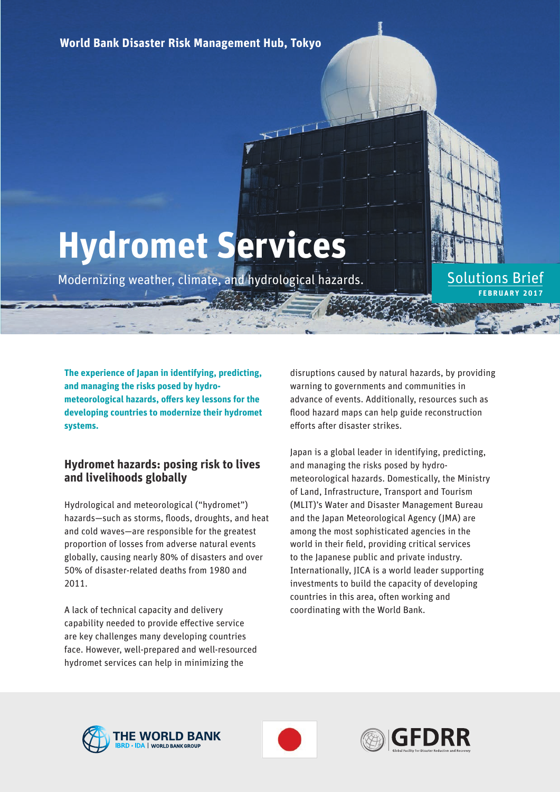**World Bank Disaster Risk Management Hub, Tokyo**

# **Hydromet Services**

Modernizing weather, climate, and hydrological hazards.

**The experience of Japan in identifying, predicting, and managing the risks posed by hydro**meteorological hazards, offers key lessons for the **developing countries to modernize their hydromet systems.** 

# **Hydromet hazards: posing risk to lives and livelihoods globally**

Hydrological and meteorological ("hydromet") hazards-such as storms, floods, droughts, and heat and cold waves—are responsible for the greatest proportion of losses from adverse natural events globally, causing nearly 80% of disasters and over 50% of disaster-related deaths from 1980 and 2011.

A lack of technical capacity and delivery capability needed to provide effective service are key challenges many developing countries face. However, well-prepared and well-resourced hydromet services can help in minimizing the

disruptions caused by natural hazards, by providing warning to governments and communities in advance of events. Additionally, resources such as flood hazard maps can help guide reconstruction efforts after disaster strikes.

**FEBRUARY 2017**

Solutions Brief

Japan is a global leader in identifying, predicting, and managing the risks posed by hydrometeorological hazards. Domestically, the Ministry of Land, Infrastructure, Transport and Tourism (MLIT)'s Water and Disaster Management Bureau and the Japan Meteorological Agency (JMA) are among the most sophisticated agencies in the world in their field, providing critical services to the Japanese public and private industry. Internationally, JICA is a world leader supporting investments to build the capacity of developing countries in this area, often working and coordinating with the World Bank.





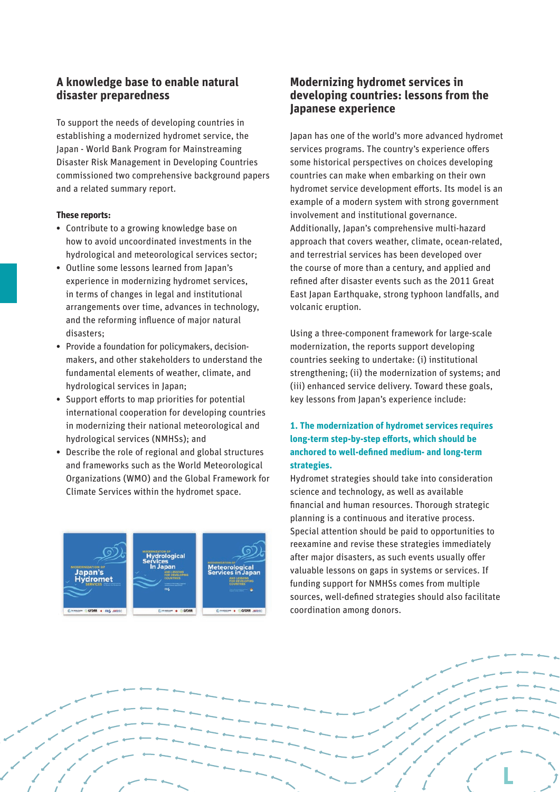## **A knowledge base to enable natural disaster preparedness**

To support the needs of developing countries in establishing a modernized hydromet service, the Japan - World Bank Program for Mainstreaming Disaster Risk Management in Developing Countries commissioned two comprehensive background papers and a related summary report.

#### **These reports:**

- Contribute to a growing knowledge base on how to avoid uncoordinated investments in the hydrological and meteorological services sector;
- Outline some lessons learned from Japan's experience in modernizing hydromet services, in terms of changes in legal and institutional arrangements over time, advances in technology, and the reforming influence of major natural disasters;
- Provide a foundation for policymakers, decisionmakers, and other stakeholders to understand the fundamental elements of weather, climate, and hydrological services in Japan;
- Support efforts to map priorities for potential international cooperation for developing countries in modernizing their national meteorological and hydrological services (NMHSs); and
- Describe the role of regional and global structures and frameworks such as the World Meteorological Organizations (WMO) and the Global Framework for Climate Services within the hydromet space.



# **Modernizing hydromet services in developing countries: lessons from the Japanese experience**

Japan has one of the world's more advanced hydromet services programs. The country's experience offers some historical perspectives on choices developing countries can make when embarking on their own hydromet service development efforts. Its model is an example of a modern system with strong government involvement and institutional governance. Additionally, Japan's comprehensive multi-hazard approach that covers weather, climate, ocean-related, and terrestrial services has been developed over the course of more than a century, and applied and refined after disaster events such as the 2011 Great East Japan Earthquake, strong typhoon landfalls, and volcanic eruption.

Using a three-component framework for large-scale modernization, the reports support developing countries seeking to undertake: (i) institutional strengthening; (ii) the modernization of systems; and (iii) enhanced service delivery. Toward these goals, key lessons from Japan's experience include:

### **1. The modernization of hydromet services requires**  long-term step-by-step efforts, which should be anchored to well-defined medium- and long-term **strategies.**

Hydromet strategies should take into consideration science and technology, as well as available financial and human resources. Thorough strategic planning is a continuous and iterative process. Special attention should be paid to opportunities to reexamine and revise these strategies immediately after major disasters, as such events usually offer valuable lessons on gaps in systems or services. If funding support for NMHSs comes from multiple sources, well-defined strategies should also facilitate coordination among donors.

**L**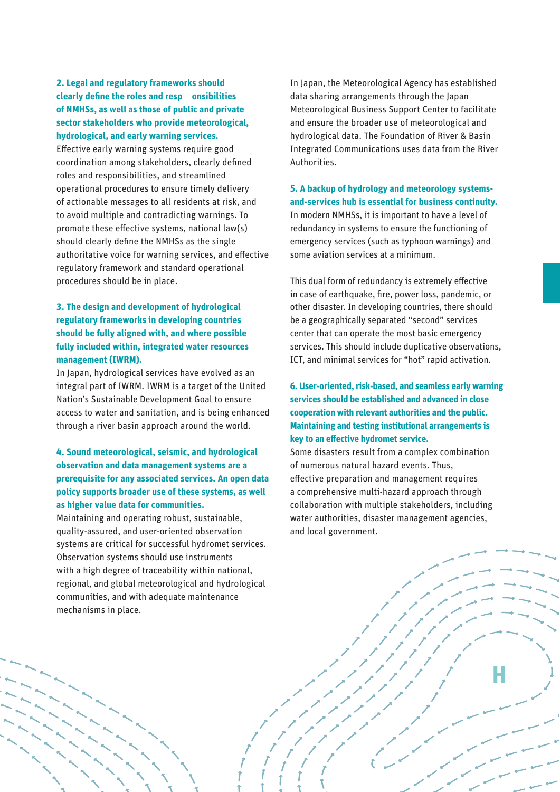#### **2. Legal and regulatory frameworks should clearly define the roles and resp onsibilities of NMHSs, as well as those of public and private sector stakeholders who provide meteorological, hydrological, and early warning services.**

Effective early warning systems require good coordination among stakeholders, clearly defined roles and responsibilities, and streamlined operational procedures to ensure timely delivery of actionable messages to all residents at risk, and to avoid multiple and contradicting warnings. To promote these effective systems, national law(s) should clearly define the NMHSs as the single authoritative voice for warning services, and effective regulatory framework and standard operational procedures should be in place.

#### **3. The design and development of hydrological regulatory frameworks in developing countries should be fully aligned with, and where possible fully included within, integrated water resources management (IWRM).**

In Japan, hydrological services have evolved as an integral part of IWRM. IWRM is a target of the United Nation's Sustainable Development Goal to ensure access to water and sanitation, and is being enhanced through a river basin approach around the world.

#### **4. Sound meteorological, seismic, and hydrological observation and data management systems are a prerequisite for any associated services. An open data policy supports broader use of these systems, as well as higher value data for communities.**

Maintaining and operating robust, sustainable, quality-assured, and user-oriented observation systems are critical for successful hydromet services. Observation systems should use instruments with a high degree of traceability within national, regional, and global meteorological and hydrological communities, and with adequate maintenance mechanisms in place.

In Japan, the Meteorological Agency has established data sharing arrangements through the Japan Meteorological Business Support Center to facilitate and ensure the broader use of meteorological and hydrological data. The Foundation of River & Basin Integrated Communications uses data from the River Authorities.

**5. A backup of hydrology and meteorology systemsand-services hub is essential for business continuity.** In modern NMHSs, it is important to have a level of redundancy in systems to ensure the functioning of emergency services (such as typhoon warnings) and some aviation services at a minimum.

This dual form of redundancy is extremely effective in case of earthquake, fire, power loss, pandemic, or other disaster. In developing countries, there should be a geographically separated "second" services center that can operate the most basic emergency services. This should include duplicative observations, ICT, and minimal services for "hot" rapid activation.

**6. User-oriented, risk-based, and seamless early warning services should be established and advanced in close cooperation with relevant authorities and the public. Maintaining and testing institutional arrangements is key to an effective hydromet service.** 

Some disasters result from a complex combination of numerous natural hazard events. Thus, effective preparation and management requires a comprehensive multi-hazard approach through collaboration with multiple stakeholders, including water authorities, disaster management agencies, and local government.

 $\overline{\phantom{a}}$ 

**H**